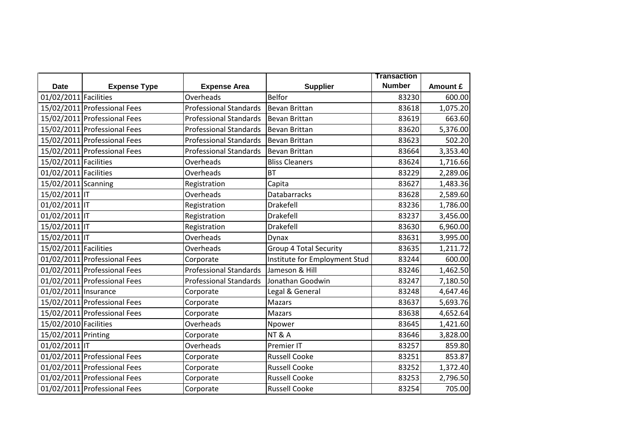|                       |                              |                               |                               | <b>Transaction</b> |          |
|-----------------------|------------------------------|-------------------------------|-------------------------------|--------------------|----------|
| <b>Date</b>           | <b>Expense Type</b>          | <b>Expense Area</b>           | <b>Supplier</b>               | <b>Number</b>      | Amount £ |
| 01/02/2011 Facilities |                              | Overheads                     | <b>Belfor</b>                 | 83230              | 600.00   |
|                       | 15/02/2011 Professional Fees | <b>Professional Standards</b> | <b>Bevan Brittan</b>          | 83618              | 1,075.20 |
|                       | 15/02/2011 Professional Fees | Professional Standards        | <b>Bevan Brittan</b>          | 83619              | 663.60   |
|                       | 15/02/2011 Professional Fees | <b>Professional Standards</b> | <b>Bevan Brittan</b>          | 83620              | 5,376.00 |
|                       | 15/02/2011 Professional Fees | <b>Professional Standards</b> | Bevan Brittan                 | 83623              | 502.20   |
|                       | 15/02/2011 Professional Fees | <b>Professional Standards</b> | <b>Bevan Brittan</b>          | 83664              | 3,353.40 |
| 15/02/2011 Facilities |                              | Overheads                     | <b>Bliss Cleaners</b>         | 83624              | 1,716.66 |
| 01/02/2011 Facilities |                              | Overheads                     | <b>BT</b>                     | 83229              | 2,289.06 |
| 15/02/2011 Scanning   |                              | Registration                  | Capita                        | 83627              | 1,483.36 |
| 15/02/2011 IT         |                              | Overheads                     | <b>Databarracks</b>           | 83628              | 2,589.60 |
| 01/02/2011 IT         |                              | Registration                  | Drakefell                     | 83236              | 1,786.00 |
| 01/02/2011 IT         |                              | Registration                  | Drakefell                     | 83237              | 3,456.00 |
| 15/02/2011 IT         |                              | Registration                  | Drakefell                     | 83630              | 6,960.00 |
| 15/02/2011 IT         |                              | Overheads                     | Dynax                         | 83631              | 3,995.00 |
| 15/02/2011 Facilities |                              | Overheads                     | <b>Group 4 Total Security</b> | 83635              | 1,211.72 |
|                       | 01/02/2011 Professional Fees | Corporate                     | Institute for Employment Stud | 83244              | 600.00   |
|                       | 01/02/2011 Professional Fees | <b>Professional Standards</b> | Jameson & Hill                | 83246              | 1,462.50 |
|                       | 01/02/2011 Professional Fees | <b>Professional Standards</b> | Jonathan Goodwin              | 83247              | 7,180.50 |
| 01/02/2011 Insurance  |                              | Corporate                     | Legal & General               | 83248              | 4,647.46 |
|                       | 15/02/2011 Professional Fees | Corporate                     | Mazars                        | 83637              | 5,693.76 |
|                       | 15/02/2011 Professional Fees | Corporate                     | Mazars                        | 83638              | 4,652.64 |
| 15/02/2010 Facilities |                              | Overheads                     | Npower                        | 83645              | 1,421.60 |
| 15/02/2011 Printing   |                              | Corporate                     | <b>NT &amp; A</b>             | 83646              | 3,828.00 |
| 01/02/2011 IT         |                              | Overheads                     | Premier IT                    | 83257              | 859.80   |
|                       | 01/02/2011 Professional Fees | Corporate                     | <b>Russell Cooke</b>          | 83251              | 853.87   |
|                       | 01/02/2011 Professional Fees | Corporate                     | <b>Russell Cooke</b>          | 83252              | 1,372.40 |
|                       | 01/02/2011 Professional Fees | Corporate                     | <b>Russell Cooke</b>          | 83253              | 2,796.50 |
|                       | 01/02/2011 Professional Fees | Corporate                     | <b>Russell Cooke</b>          | 83254              | 705.00   |